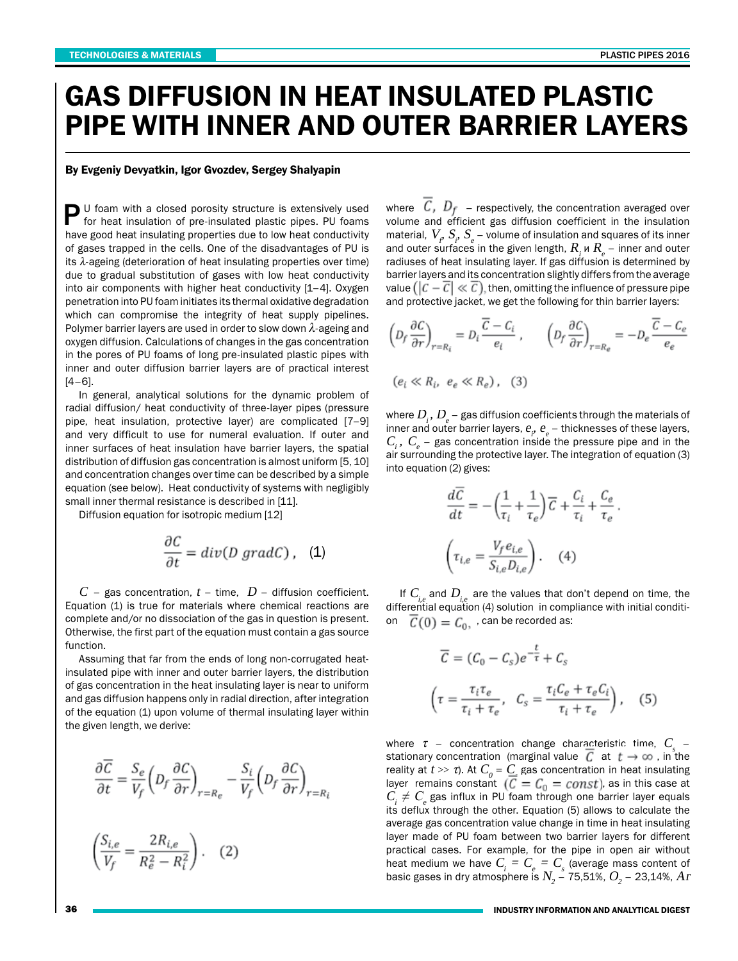## GAS DIFFUSION IN HEAT INSULATED PLASTIC PIPE WITH INNER AND OUTER BARRIER LAYERS

## By Evgeniy Devyatkin, Igor Gvozdev, Sergey Shalyapin

P U foam with a closed porosity structure is extensively used for heat insulation of pre-insulated plastic pipes. PU foams have good heat insulating properties due to low heat conductivity of gases trapped in the cells. One of the disadvantages of PU is its  $\lambda$ -ageing (deterioration of heat insulating properties over time) due to gradual substitution of gases with low heat conductivity into air components with higher heat conductivity [1–4]. Oxygen penetration into PU foam initiates its thermal oxidative degradation which can compromise the integrity of heat supply pipelines. Polymer barrier layers are used in order to slow down  $\lambda$ -ageing and oxygen diffusion. Calculations of changes in the gas concentration in the pores of PU foams of long pre-insulated plastic pipes with inner and outer diffusion barrier layers are of practical interest  $[4-6]$ .

In general, analytical solutions for the dynamic problem of radial diffusion/ heat conductivity of three-layer pipes (pressure pipe, heat insulation, protective layer) are complicated [7–9] and very difficult to use for numeral evaluation. If outer and inner surfaces of heat insulation have barrier layers, the spatial distribution of diffusion gas concentration is almost uniform [5, 10] and concentration changes over time can be described by a simple equation (see below). Heat conductivity of systems with negligibly small inner thermal resistance is described in [11].

Diffusion equation for isotropic medium [12]

$$
\frac{\partial C}{\partial t} = div(D \; grad C) \; , \ \ \, \textbf{(1)}
$$

 $C$  – gas concentration,  $t$  – time,  $D$  – diffusion coefficient. Equation (1) is true for materials where chemical reactions are complete and/or no dissociation of the gas in question is present. Otherwise, the first part of the equation must contain a gas source function.

Assuming that far from the ends of long non-corrugated heatinsulated pipe with inner and outer barrier layers, the distribution of gas concentration in the heat insulating layer is near to uniform and gas diffusion happens only in radial direction, after integration of the equation (1) upon volume of thermal insulating layer within the given length, we derive:

$$
\frac{\partial \overline{C}}{\partial t} = \frac{S_e}{V_f} \left( D_f \frac{\partial C}{\partial r} \right)_{r=R_e} - \frac{S_i}{V_f} \left( D_f \frac{\partial C}{\partial r} \right)_{r=R_i}
$$

$$
\frac{S_{i,e}}{V_f} = \frac{2R_{i,e}}{R_e^2 - R_i^2}.
$$
 (2)

where  $\left\langle \mathcal{L},\mathcal{L}\right\rangle _f$  – respectively, the concentration averaged over volume and efficient gas diffusion coefficient in the insulation material,  $\,V_{_{\rho}}\,S_{_{\rho}}\,S_{_{e}}\,$  – volume of insulation and squares of its inner and outer surfaces in the given length,  $R_{_I}$  и  $R_{_e}$  – inner and outer radiuses of heat insulating layer. If gas diffusion is determined by barrier layers and its concentration slightly differs from the average value  $(|\mathcal{C}-\overline{\mathcal{C}}|\ll \overline{\mathcal{C}})$ , then, omitting the influence of pressure pipe and protective jacket, we get the following for thin barrier layers:

$$
\left(D_f \frac{\partial C}{\partial r}\right)_{r=R_i} = D_i \frac{\overline{C} - C_i}{e_i}, \qquad \left(D_f \frac{\partial C}{\partial r}\right)_{r=R_e} = -D_e \frac{\overline{C} - C_e}{e_e}
$$
\n
$$
(e_i \ll R_i, e_e \ll R_e), \quad (3)
$$

where  $D_{_{\hat{i}}}, D_{_{\mathrm{e}}}$  – gas diffusion coefficients through the materials of inner and outer barrier layers,  $e_i$ ,  $e_e$  – thicknesses of these layers,  $C_{i}^{\dagger}$ ,  $C_{e}^{\dagger}$  – gas concentration inside the pressure pipe and in the air surrounding the protective layer. The integration of equation (3) into equation (2) gives:

$$
\begin{split} \frac{d\overline{C}}{dt} &= -\left(\frac{1}{\tau_i} + \frac{1}{\tau_e}\right)\overline{C} + \frac{C_i}{\tau_i} + \frac{C_e}{\tau_e} \, .\\ \left(\tau_{i,e} = \frac{V_f e_{i,e}}{S_{i,e} D_{i,e}}\right). \end{split}
$$

If  $C_{i,j}$  and  $D_{i,j}$  are the values that don't depend on time, the differential equation (4) solution in compliance with initial condition  $\overline{C}(0) = C_0$ , can be recorded as:

$$
\overline{C} = (C_0 - C_s)e^{-\frac{t}{\tau}} + C_s
$$

$$
\left(\tau = \frac{\tau_i \tau_e}{\tau_i + \tau_e}, \ C_s = \frac{\tau_i C_e + \tau_e C_i}{\tau_i + \tau_e}\right), \quad (5)
$$

where  $\tau$  – concentration change characteristic time,  $C_{\text{\tiny S}}$  – stationary concentration (marginal value  $\overline{C}$  at  $t\to\infty$ , in the reality at  $t\gg\tau$ ). At  $C_{_0}$  =  $C_{_-}$  gas concentration in heat insulating layer remains constant  $(C = C_0 = const)$ , as in this case at  $C_{\!\!i}\neq C_{\!\!e}$  gas influx in PU foam through one barrier layer equals its deflux through the other. Equation (5) allows to calculate the average gas concentration value change in time in heat insulating layer made of PU foam between two barrier layers for different practical cases. For example, for the pipe in open air without heat medium we have  $C_{_{\!i}}=C_{_{\!e}}=C_{_{\!s}}$  (average mass content of basic gases in dry atmosphere is  $N_{_2}$  – 75,51%,  $O_{_2}$  – 23,14%,  $Ar$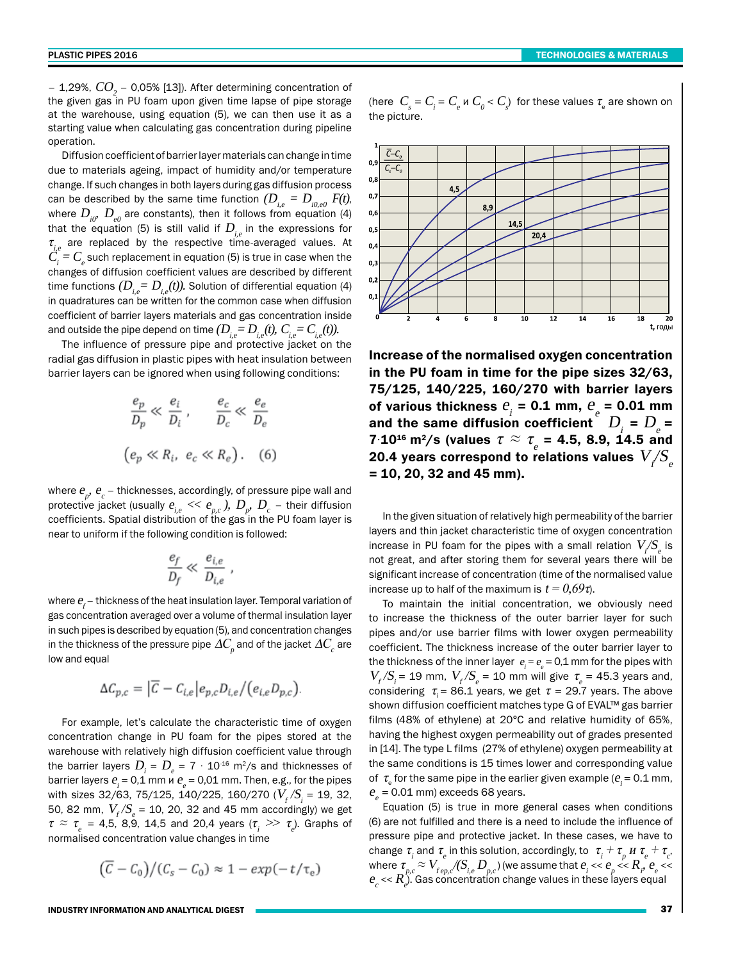– 1,29%,  $CO_{_2}$  – 0,05% [13]). After determining concentration of the given gas in PU foam upon given time lapse of pipe storage at the warehouse, using equation (5), we can then use it as a starting value when calculating gas concentration during pipeline operation.

Diffusion coefficient of barrier layer materials can change in time due to materials ageing, impact of humidity and/or temperature change. If such changes in both layers during gas diffusion process can be described by the same time function  $(D_{i,e} = D_{i0,e0} F(t))$ , where  $D_{i0}$ ,  $D_{e0}$  are constants), then it follows from equation (4) that the equation (5) is still valid if  $D_{i,e}$  in the expressions for  $\tau_{i,e}$  are replaced by the respective time-averaged values. At  $C_{\!\!i}^{} = C_{\!\!e}^{}$  such replacement in equation (5) is true in case when the changes of diffusion coefficient values are described by different time functions  $(D_i = D_i(t))$ . Solution of differential equation (4) in quadratures can be written for the common case when diffusion coefficient of barrier layers materials and gas concentration inside and outside the pipe depend on time  $(D_{i,e}=D_{i,e}(t), C_{i,e}=C_{i,e}(t)).$ 

The influence of pressure pipe and protective jacket on the radial gas diffusion in plastic pipes with heat insulation between barrier layers can be ignored when using following conditions:

$$
\frac{e_p}{D_p} \ll \frac{e_i}{D_i}, \qquad \frac{e_c}{D_c} \ll \frac{e_e}{D_e}
$$

$$
(e_p \ll R_i, e_c \ll R_e).
$$
 (6)

where  $e_{_{\!P\!}},\,e_{_{\!C}}$  – thicknesses, accordingly, of pressure pipe wall and protective jacket (usually  $e_{_{i,e}} << e_{_{p,c}}$  ),  $D_{_p},\, D_{_c}$  – their diffusion coefficients. Spatial distribution of the gas in the PU foam layer is near to uniform if the following condition is followed:

$$
\frac{e_f}{D_f} \ll \frac{e_{i,e}}{D_{i,e}}
$$

where  $e_{\!f}^{\vphantom{\dagger}}$  – thickness of the heat insulation layer. Temporal variation of gas concentration averaged over a volume of thermal insulation layer in such pipes is described by equation (5), and concentration changes in the thickness of the pressure pipe  $\varDelta C_{_{\rho}}$  and of the jacket  $\varDelta C_{_{c}}$  are low and equal

$$
\Delta C_{p,c} = |\overline{C} - C_{i,e}|e_{p,c}D_{i,e}/(e_{i,e}D_{p,c}).
$$

For example, let's calculate the characteristic time of oxygen concentration change in PU foam for the pipes stored at the warehouse with relatively high diffusion coefficient value through the barrier layers  $D_{_{\!I}}^{}$  =  $D_{_{\!e}}^{}$  = 7  $\cdot$  10<sup>-16</sup> m<sup>2</sup>/s and thicknesses of barrier layers  $e_i = 0.1$  mm  $u e_e = 0.01$  mm. Then, e.g., for the pipes with sizes 32/63, 75/125, 140/225, 160/270 ( $V_{_f}/S_{_i}$  = 19, 32, 50, 82 mm,  $V_{\scriptscriptstyle f} / S_{\scriptscriptstyle e}$  = 10, 20, 32 and 45 mm accordingly) we get  $\tau \approx \tau_{e}$  = 4,5, 8,9, 14,5 and 20,4 years ( $\tau_{i} \gg \tau_{e}$ ). Graphs of normalised concentration value changes in time

$$
(\overline{C}-C_0)/(C_s-C_0) \approx 1-exp(-t/\tau_e)
$$

INDUSTRY INFORMATION AND ANALYTICAL DIGEST

(here  $\;C_{_{S}}=C_{_{\tilde{e}}}\;$  =  $\;C_{_{e}}$  и  $C_{_{0}}$  <  $C_{_{S}}\;$  for these values  $\tau_{_{\tilde{e}}}$  are shown on the picture.



Increase of the normalised oxygen concentration in the PU foam in time for the pipe sizes 32/63, 75/125, 140/225, 160/270 with barrier layers of various thickness  $e_i = 0.1$  mm,  $e_e = 0.01$  mm and the same diffusion coefficient  $D_i = D_i$  = 7⋅10<sup>16</sup> m<sup>2</sup>/s (values  $\tau \approx \tau_{e} = 4.5, 8.9, 14.5$  and 20.4 years correspond to relations values  $\left. V\middle/ S_{e}\right.$  $= 10, 20, 32$  and 45 mm).

In the given situation of relatively high permeability of the barrier layers and thin jacket characteristic time of oxygen concentration increase in PU foam for the pipes with a small relation  $\,V\hskip-3pt/\hskip-.5pt S_{_{\rm e}}^{}$  is not great, and after storing them for several years there will be significant increase of concentration (time of the normalised value increase up to half of the maximum is  $t = 0.69\tau$ .

To maintain the initial concentration, we obviously need to increase the thickness of the outer barrier layer for such pipes and/or use barrier films with lower oxygen permeability coefficient. The thickness increase of the outer barrier layer to the thickness of the inner layer  $e_i = e_e = 0,1$  mm for the pipes with  $V_f/S_i = 19$  mm,  $V_f/S_e = 10$  mm will give  $\tau_e = 45.3$  years and, considering  $\tau = 86.1$  years, we get  $\tau = 29.7$  years. The above shown diffusion coefficient matches type G of EVAL™ gas barrier films (48% of ethylene) at 20°С and relative humidity of 65%, having the highest oxygen permeability out of grades presented in [14]. The type L films (27% of ethylene) oxygen permeability at the same conditions is 15 times lower and corresponding value of  $\tau_{\rm e}$  for the same pipe in the earlier given example ( $e_i$  = 0.1 mm,  $e_e$  = 0.01 mm) exceeds 68 years.

Equation (5) is true in more general cases when conditions (6) are not fulfilled and there is a need to include the influence of pressure pipe and protective jacket. In these cases, we have to change  $\tau_i$  and  $\tau_e$  in this solution, accordingly, to  $\tau_i + \tau_p$   $\mu \tau_e + \tau_c$ , where  $\tau_{p,c}\approx V_{_{fep,c}}/\!(\!S_{_{i,e}}\! \,D_{_{p,c}})$  (we assume that  $e_{_i}$  <<  $e_{_p}$  <<  $R_{_i}$ ,  $e_{_e}$  <<  $e_{c}^{\phantom{\dag}}\!\ll\! R$  ). Gas concentration change values in these layers equal